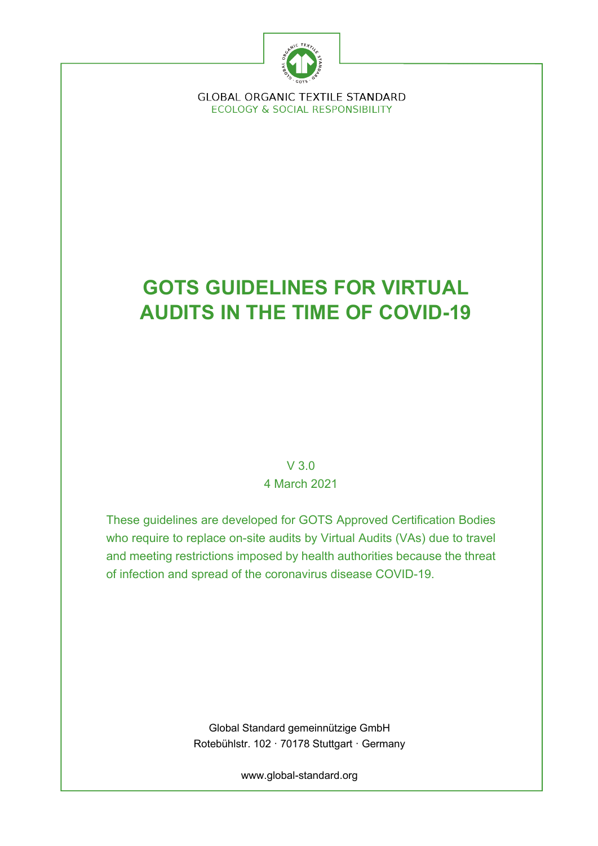

**GLOBAL ORGANIC TEXTILE STANDARD ECOLOGY & SOCIAL RESPONSIBILITY** 

# **GOTS GUIDELINES FOR VIRTUAL AUDITS IN THE TIME OF COVID-19**

V 3.0 4 March 2021

These guidelines are developed for GOTS Approved Certification Bodies who require to replace on-site audits by Virtual Audits (VAs) due to travel and meeting restrictions imposed by health authorities because the threat of infection and spread of the coronavirus disease COVID-19.

> Global Standard gemeinnützige GmbH Rotebühlstr. 102 · 70178 Stuttgart · Germany

> > www.global-standard.org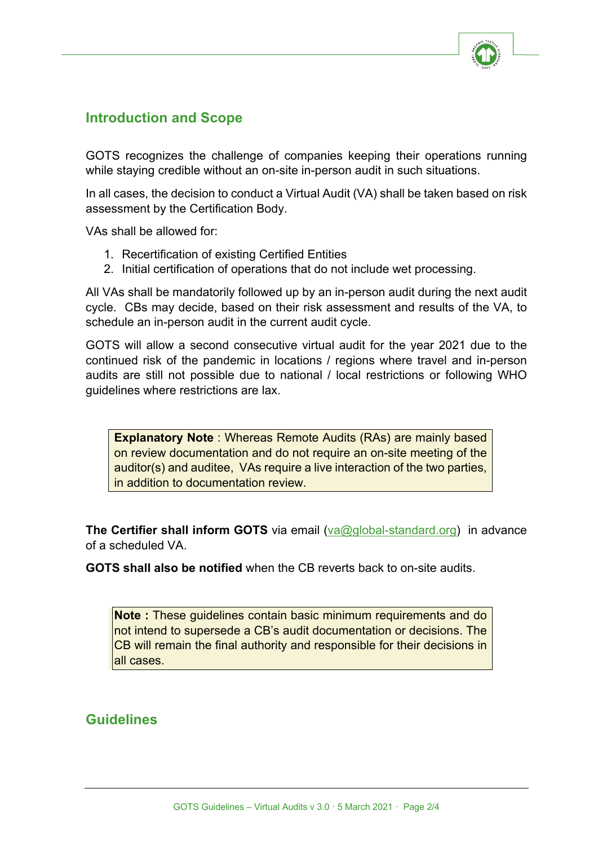

# **Introduction and Scope**

GOTS recognizes the challenge of companies keeping their operations running while staying credible without an on-site in-person audit in such situations.

In all cases, the decision to conduct a Virtual Audit (VA) shall be taken based on risk assessment by the Certification Body.

VAs shall be allowed for:

- 1. Recertification of existing Certified Entities
- 2. Initial certification of operations that do not include wet processing.

All VAs shall be mandatorily followed up by an in-person audit during the next audit cycle. CBs may decide, based on their risk assessment and results of the VA, to schedule an in-person audit in the current audit cycle.

GOTS will allow a second consecutive virtual audit for the year 2021 due to the continued risk of the pandemic in locations / regions where travel and in-person audits are still not possible due to national / local restrictions or following WHO guidelines where restrictions are lax.

**Explanatory Note** : Whereas Remote Audits (RAs) are mainly based on review documentation and do not require an on-site meeting of the auditor(s) and auditee. VAs require a live interaction of the two parties, in addition to documentation review.

**The Certifier shall inform GOTS** via email (va@global-standard.org) in advance of a scheduled VA.

**GOTS shall also be notified** when the CB reverts back to on-site audits.

**Note :** These guidelines contain basic minimum requirements and do not intend to supersede a CB's audit documentation or decisions. The CB will remain the final authority and responsible for their decisions in all cases.

### **Guidelines**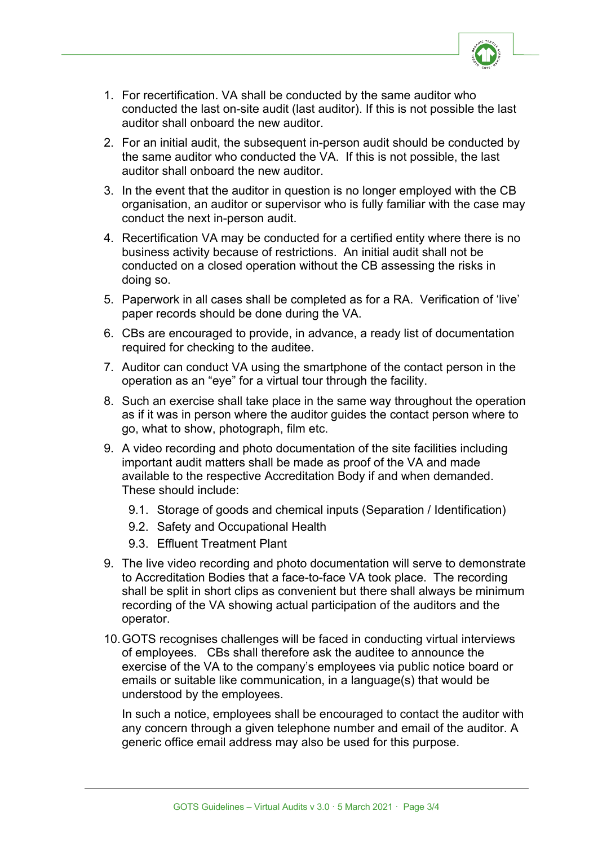

- 1. For recertification. VA shall be conducted by the same auditor who conducted the last on-site audit (last auditor). If this is not possible the last auditor shall onboard the new auditor.
- 2. For an initial audit, the subsequent in-person audit should be conducted by the same auditor who conducted the VA. If this is not possible, the last auditor shall onboard the new auditor.
- 3. In the event that the auditor in question is no longer employed with the CB organisation, an auditor or supervisor who is fully familiar with the case may conduct the next in-person audit.
- 4. Recertification VA may be conducted for a certified entity where there is no business activity because of restrictions. An initial audit shall not be conducted on a closed operation without the CB assessing the risks in doing so.
- 5. Paperwork in all cases shall be completed as for a RA. Verification of 'live' paper records should be done during the VA.
- 6. CBs are encouraged to provide, in advance, a ready list of documentation required for checking to the auditee.
- 7. Auditor can conduct VA using the smartphone of the contact person in the operation as an "eye" for a virtual tour through the facility.
- 8. Such an exercise shall take place in the same way throughout the operation as if it was in person where the auditor guides the contact person where to go, what to show, photograph, film etc.
- 9. A video recording and photo documentation of the site facilities including important audit matters shall be made as proof of the VA and made available to the respective Accreditation Body if and when demanded. These should include:
	- 9.1. Storage of goods and chemical inputs (Separation / Identification)
	- 9.2. Safety and Occupational Health
	- 9.3. Effluent Treatment Plant
- 9. The live video recording and photo documentation will serve to demonstrate to Accreditation Bodies that a face-to-face VA took place. The recording shall be split in short clips as convenient but there shall always be minimum recording of the VA showing actual participation of the auditors and the operator.
- 10.GOTS recognises challenges will be faced in conducting virtual interviews of employees. CBs shall therefore ask the auditee to announce the exercise of the VA to the company's employees via public notice board or emails or suitable like communication, in a language(s) that would be understood by the employees.

In such a notice, employees shall be encouraged to contact the auditor with any concern through a given telephone number and email of the auditor. A generic office email address may also be used for this purpose.